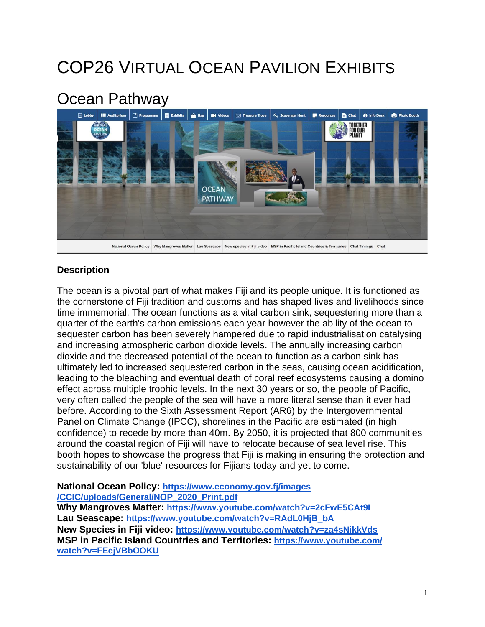## COP26 VIRTUAL OCEAN PAVILION EXHIBITS

## Ocean Pathway



## **Description**

The ocean is a pivotal part of what makes Fiji and its people unique. It is functioned as the cornerstone of Fiji tradition and customs and has shaped lives and livelihoods since time immemorial. The ocean functions as a vital carbon sink, sequestering more than a quarter of the earth's carbon emissions each year however the ability of the ocean to sequester carbon has been severely hampered due to rapid industrialisation catalysing and increasing atmospheric carbon dioxide levels. The annually increasing carbon dioxide and the decreased potential of the ocean to function as a carbon sink has ultimately led to increased sequestered carbon in the seas, causing ocean acidification, leading to the bleaching and eventual death of coral reef ecosystems causing a domino effect across multiple trophic levels. In the next 30 years or so, the people of Pacific, very often called the people of the sea will have a more literal sense than it ever had before. According to the Sixth Assessment Report (AR6) by the Intergovernmental Panel on Climate Change (IPCC), shorelines in the Pacific are estimated (in high confidence) to recede by more than 40m. By 2050, it is projected that 800 communities around the coastal region of Fiji will have to relocate because of sea level rise. This booth hopes to showcase the progress that Fiji is making in ensuring the protection and sustainability of our 'blue' resources for Fijians today and yet to come.

**National Ocean Policy: [https://www.economy.gov.fj/images](https://www.economy.gov.fj/images/CCIC/uploads/General/NOP_2020_Print.pdf) [/CCIC/uploads/General/NOP\\_2020\\_Print.pdf](https://www.economy.gov.fj/images/CCIC/uploads/General/NOP_2020_Print.pdf) Why Mangroves Matter: <https://www.youtube.com/watch?v=2cFwE5CAt9I> Lau Seascape: [https://www.youtube.com/watch?v=RAdL0HjB\\_bA](https://www.youtube.com/watch?v=RAdL0HjB_bA) New Species in Fiji video: <https://www.youtube.com/watch?v=za4sNikkVds> MSP in Pacific Island Countries and Territories: [https://www.youtube.com/](https://www.youtube.com/watch?v=FEejVBbOOKU) [watch?v=FEejVBbOOKU](https://www.youtube.com/watch?v=FEejVBbOOKU)**